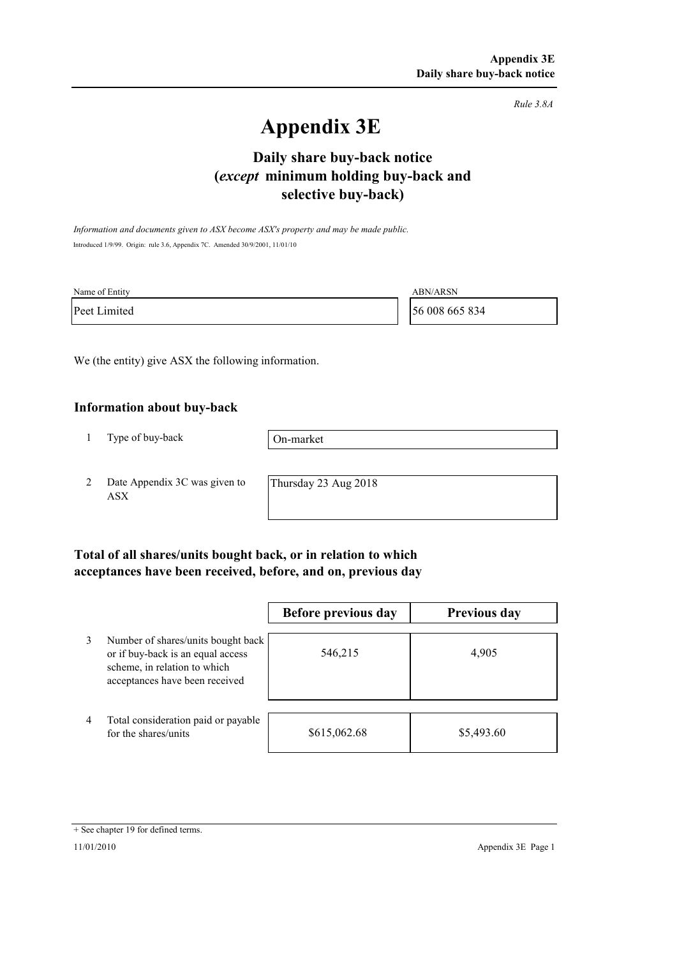*Rule 3.8A*

# **Appendix 3E**

# **selective buy-back) Daily share buy-back notice (***except* **minimum holding buy-back and**

*Information and documents given to ASX become ASX's property and may be made public.* Introduced 1/9/99. Origin: rule 3.6, Appendix 7C. Amended 30/9/2001, 11/01/10

| Name of Entity | <b>ABN/ARSN</b> |
|----------------|-----------------|
| Peet Limited   | 56 008 665 834  |

We (the entity) give ASX the following information.

#### **Information about buy-back**

1 Type of buy-back

On-market

2 Date Appendix 3C was given to ASX

Thursday 23 Aug 2018

### **Total of all shares/units bought back, or in relation to which acceptances have been received, before, and on, previous day**

|   |                                                                                                                                           | Before previous day | <b>Previous day</b> |
|---|-------------------------------------------------------------------------------------------------------------------------------------------|---------------------|---------------------|
| 3 | Number of shares/units bought back<br>or if buy-back is an equal access<br>scheme, in relation to which<br>acceptances have been received | 546,215             | 4,905               |
| 4 | Total consideration paid or payable<br>for the shares/units                                                                               | \$615,062.68        | \$5,493.60          |

<sup>+</sup> See chapter 19 for defined terms.